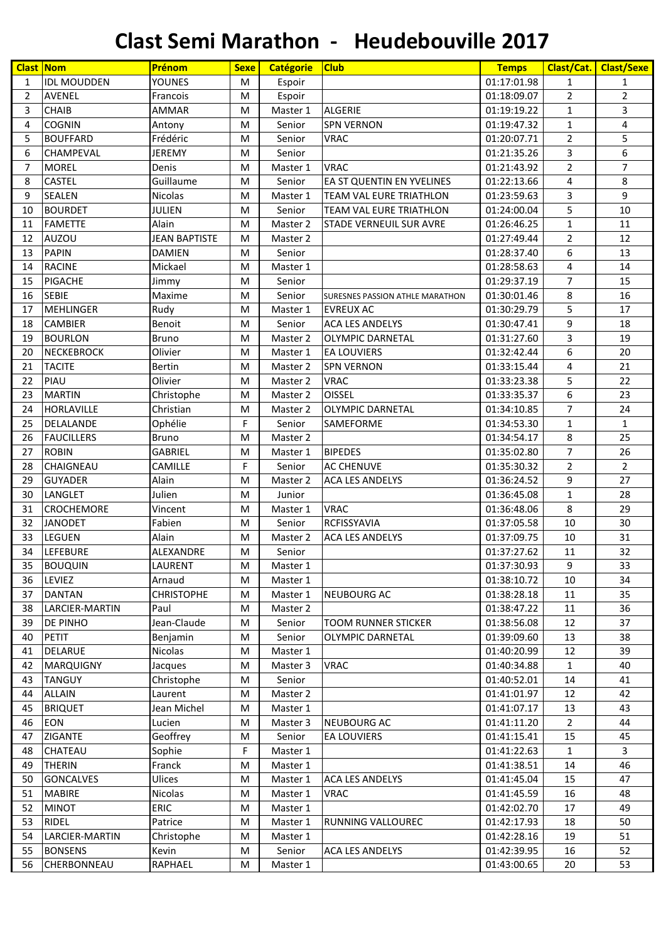| <b>Clast Nom</b> |                    | Prénom               | <b>Sexe</b> | <b>Catégorie</b> | <b>Club</b>                     | <b>Temps</b> | <b>Clast/Cat.</b> | <b>Clast/Sexe</b> |
|------------------|--------------------|----------------------|-------------|------------------|---------------------------------|--------------|-------------------|-------------------|
| $\mathbf{1}$     | <b>IDL MOUDDEN</b> | <b>YOUNES</b>        | M           | Espoir           |                                 | 01:17:01.98  | $\mathbf{1}$      | 1                 |
| 2                | <b>AVENEL</b>      | Francois             | M           | Espoir           |                                 | 01:18:09.07  | $\overline{2}$    | $\overline{2}$    |
| 3                | <b>CHAIB</b>       | <b>AMMAR</b>         | M           | Master 1         | ALGERIE                         | 01:19:19.22  | $\mathbf{1}$      | 3                 |
| 4                | <b>COGNIN</b>      | Antony               | M           | Senior           | <b>SPN VERNON</b>               | 01:19:47.32  | $\mathbf{1}$      | 4                 |
| 5                | <b>BOUFFARD</b>    | Frédéric             | M           | Senior           | <b>VRAC</b>                     | 01:20:07.71  | $\overline{2}$    | 5                 |
| 6                | CHAMPEVAL          | <b>JEREMY</b>        | M           | Senior           |                                 | 01:21:35.26  | $\overline{3}$    | 6                 |
| 7                | <b>MOREL</b>       | Denis                | M           | Master 1         | <b>VRAC</b>                     | 01:21:43.92  | $\overline{2}$    | $\overline{7}$    |
| 8                | <b>CASTEL</b>      | Guillaume            | M           | Senior           | EA ST QUENTIN EN YVELINES       | 01:22:13.66  | 4                 | 8                 |
| 9                | <b>SEALEN</b>      | Nicolas              | M           | Master 1         | <b>TEAM VAL EURE TRIATHLON</b>  | 01:23:59.63  | $\overline{3}$    | 9                 |
| 10               | <b>BOURDET</b>     | <b>JULIEN</b>        | M           | Senior           | TEAM VAL EURE TRIATHLON         | 01:24:00.04  | 5                 | 10                |
| 11               | <b>FAMETTE</b>     | Alain                | M           | Master 2         | <b>STADE VERNEUIL SUR AVRE</b>  | 01:26:46.25  | $\mathbf{1}$      | 11                |
| 12               | <b>AUZOU</b>       | <b>JEAN BAPTISTE</b> | M           | Master 2         |                                 | 01:27:49.44  | $\overline{2}$    | 12                |
| 13               | <b>PAPIN</b>       | <b>DAMIEN</b>        | M           | Senior           |                                 | 01:28:37.40  | 6                 | 13                |
| 14               | <b>RACINE</b>      | Mickael              | M           | Master 1         |                                 | 01:28:58.63  | 4                 | 14                |
| 15               | <b>PIGACHE</b>     | Jimmy                | M           | Senior           |                                 | 01:29:37.19  | $\overline{7}$    | 15                |
| 16               | <b>SEBIE</b>       | Maxime               | M           | Senior           | SURESNES PASSION ATHLE MARATHON | 01:30:01.46  | 8                 | 16                |
| 17               | <b>MEHLINGER</b>   | Rudy                 | M           | Master 1         | <b>EVREUX AC</b>                | 01:30:29.79  | 5                 | 17                |
| 18               | <b>CAMBIER</b>     | Benoit               | M           | Senior           | <b>ACA LES ANDELYS</b>          | 01:30:47.41  | 9                 | 18                |
| 19               | <b>BOURLON</b>     | <b>Bruno</b>         | M           | Master 2         | <b>OLYMPIC DARNETAL</b>         | 01:31:27.60  | 3                 | 19                |
| 20               | <b>NECKEBROCK</b>  | Olivier              | M           | Master 1         | <b>EA LOUVIERS</b>              | 01:32:42.44  | 6                 | 20                |
| 21               | <b>TACITE</b>      | <b>Bertin</b>        | M           | Master 2         | <b>SPN VERNON</b>               | 01:33:15.44  | 4                 | 21                |
| 22               | <b>PIAU</b>        | Olivier              | M           | Master 2         | <b>VRAC</b>                     | 01:33:23.38  | 5                 | 22                |
| 23               | <b>MARTIN</b>      | Christophe           | M           | Master 2         | <b>OISSEL</b>                   | 01:33:35.37  | 6                 | 23                |
| 24               | HORLAVILLE         | Christian            | M           | Master 2         | <b>OLYMPIC DARNETAL</b>         | 01:34:10.85  | $\overline{7}$    | 24                |
| 25               | DELALANDE          | Ophélie              | F           | Senior           | <b>SAMEFORME</b>                | 01:34:53.30  | $\mathbf{1}$      | $\mathbf{1}$      |
| 26               | <b>FAUCILLERS</b>  | Bruno                | M           | Master 2         |                                 | 01:34:54.17  | 8                 | 25                |
| 27               | <b>ROBIN</b>       | <b>GABRIEL</b>       | M           | Master 1         | <b>BIPEDES</b>                  | 01:35:02.80  | 7                 | 26                |
| 28               | CHAIGNEAU          | CAMILLE              | F           | Senior           | <b>AC CHENUVE</b>               | 01:35:30.32  | $\overline{2}$    | $\overline{2}$    |
| 29               | <b>GUYADER</b>     | Alain                | M           | Master 2         | <b>ACA LES ANDELYS</b>          | 01:36:24.52  | 9                 | 27                |
| 30               | LANGLET            | Julien               | M           | Junior           |                                 | 01:36:45.08  | $\mathbf{1}$      | 28                |
| 31               | <b>CROCHEMORE</b>  | Vincent              | M           | Master 1         | <b>VRAC</b>                     | 01:36:48.06  | 8                 | 29                |
| 32               | <b>JANODET</b>     | Fabien               | M           | Senior           | <b>RCFISSYAVIA</b>              | 01:37:05.58  | 10                | 30                |
| 33               | LEGUEN             | Alain                | M           | Master 2         | <b>ACA LES ANDELYS</b>          | 01:37:09.75  | 10                | 31                |
| 34               | <b>LEFEBURE</b>    | ALEXANDRE            | M           | Senior           |                                 | 01:37:27.62  | 11                | 32                |
| 35               | <b>BOUQUIN</b>     | LAURENT              | ${\sf M}$   | Master 1         |                                 | 01:37:30.93  | 9                 | 33                |
| 36               | LEVIEZ             | Arnaud               | M           | Master 1         |                                 | 01:38:10.72  | 10                | 34                |
| 37               | <b>DANTAN</b>      | <b>CHRISTOPHE</b>    | M           | Master 1         | <b>NEUBOURG AC</b>              | 01:38:28.18  | 11                | 35                |
| 38               | LARCIER-MARTIN     | Paul                 | M           | Master 2         |                                 | 01:38:47.22  | 11                | 36                |
| 39               | DE PINHO           | Jean-Claude          | M           | Senior           | <b>TOOM RUNNER STICKER</b>      | 01:38:56.08  | 12                | 37                |
| 40               | <b>PETIT</b>       | Benjamin             | M           | Senior           | <b>OLYMPIC DARNETAL</b>         | 01:39:09.60  | 13                | 38                |
| 41               | <b>DELARUE</b>     | Nicolas              | M           | Master 1         |                                 | 01:40:20.99  | 12                | 39                |
| 42               | <b>MARQUIGNY</b>   | Jacques              | M           | Master 3         | <b>VRAC</b>                     | 01:40:34.88  | $\mathbf{1}$      | 40                |
| 43               | <b>TANGUY</b>      | Christophe           | M           | Senior           |                                 | 01:40:52.01  | 14                | 41                |
| 44               | <b>ALLAIN</b>      | Laurent              | M           | Master 2         |                                 | 01:41:01.97  | 12                | 42                |
| 45               | <b>BRIQUET</b>     | Jean Michel          | M           | Master 1         |                                 | 01:41:07.17  | 13                | 43                |
| 46               | <b>EON</b>         | Lucien               | M           | Master 3         | <b>NEUBOURG AC</b>              | 01:41:11.20  | $\overline{2}$    | 44                |
| 47               | ZIGANTE            | Geoffrey             | M           | Senior           | <b>EA LOUVIERS</b>              | 01:41:15.41  | 15                | 45                |
| 48               | CHATEAU            | Sophie               | F           | Master 1         |                                 | 01:41:22.63  | $\mathbf{1}$      | 3                 |
| 49               | <b>THERIN</b>      | Franck               | M           | Master 1         |                                 | 01:41:38.51  | 14                | 46                |
| 50               | <b>GONCALVES</b>   | <b>Ulices</b>        | M           | Master 1         | <b>ACA LES ANDELYS</b>          | 01:41:45.04  | 15                | 47                |
| 51               | <b>MABIRE</b>      | Nicolas              | M           | Master 1         | <b>VRAC</b>                     | 01:41:45.59  | 16                | 48                |
| 52               | <b>MINOT</b>       | <b>ERIC</b>          | M           | Master 1         |                                 | 01:42:02.70  | 17                | 49                |
| 53               | <b>RIDEL</b>       | Patrice              | M           | Master 1         | <b>RUNNING VALLOUREC</b>        | 01:42:17.93  | 18                | 50                |
| 54               | LARCIER-MARTIN     | Christophe           | M           | Master 1         |                                 | 01:42:28.16  | 19                | 51                |
| 55               | <b>BONSENS</b>     | Kevin                | M           | Senior           | <b>ACA LES ANDELYS</b>          | 01:42:39.95  | 16                | 52                |
| 56               | CHERBONNEAU        | RAPHAEL              | M           | Master 1         |                                 | 01:43:00.65  | 20                | 53                |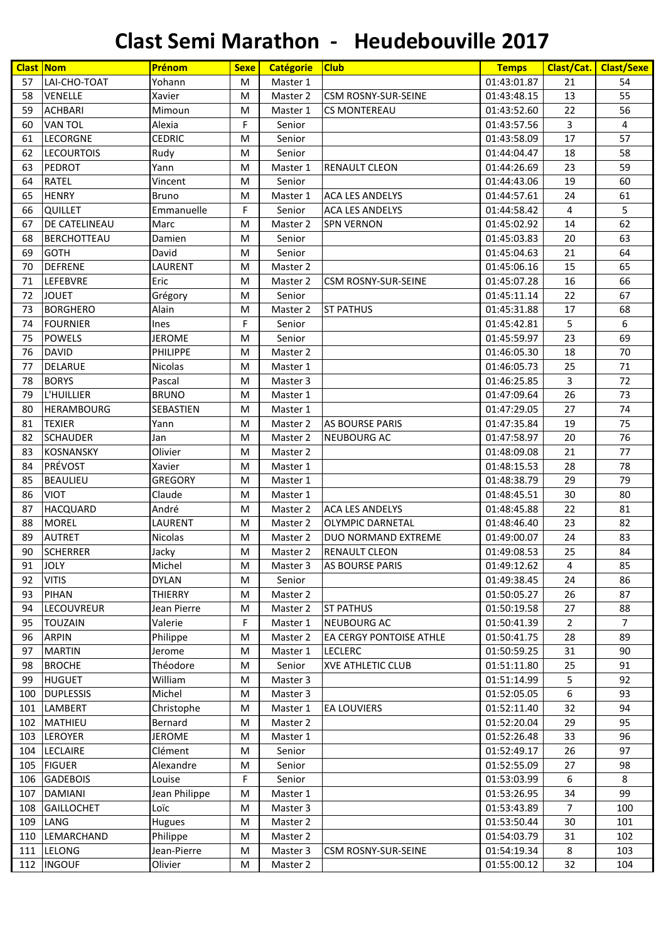|     | <b>Clast Nom</b>     | Prénom          | <b>Sexe</b> | <b>Catégorie</b> | <b>Club</b>                    | <b>Temps</b> | Clast/Cat.     | <b>Clast/Sexe</b> |
|-----|----------------------|-----------------|-------------|------------------|--------------------------------|--------------|----------------|-------------------|
| 57  | LAI-CHO-TOAT         | Yohann          | M           | Master 1         |                                | 01:43:01.87  | 21             | 54                |
| 58  | VENELLE              | Xavier          | M           | Master 2         | <b>CSM ROSNY-SUR-SEINE</b>     | 01:43:48.15  | 13             | 55                |
| 59  | <b>ACHBARI</b>       | Mimoun          | M           | Master 1         | <b>CS MONTEREAU</b>            | 01:43:52.60  | 22             | 56                |
| 60  | <b>VAN TOL</b>       | Alexia          | F           | Senior           |                                | 01:43:57.56  | 3              | 4                 |
| 61  | <b>LECORGNE</b>      | <b>CEDRIC</b>   | M           | Senior           |                                | 01:43:58.09  | 17             | 57                |
| 62  | <b>LECOURTOIS</b>    | Rudy            | M           | Senior           |                                | 01:44:04.47  | 18             | 58                |
| 63  | <b>PEDROT</b>        | Yann            | M           | Master 1         | <b>RENAULT CLEON</b>           | 01:44:26.69  | 23             | 59                |
| 64  | <b>RATEL</b>         | Vincent         | M           | Senior           |                                | 01:44:43.06  | 19             | 60                |
| 65  | <b>HENRY</b>         | Bruno           | M           | Master 1         | <b>ACA LES ANDELYS</b>         | 01:44:57.61  | 24             | 61                |
| 66  | <b>QUILLET</b>       | Emmanuelle      | F           | Senior           | <b>ACA LES ANDELYS</b>         | 01:44:58.42  | 4              | 5                 |
| 67  | <b>DE CATELINEAU</b> | Marc            | M           | Master 2         | <b>SPN VERNON</b>              | 01:45:02.92  | 14             | 62                |
| 68  | <b>BERCHOTTEAU</b>   | Damien          | M           | Senior           |                                | 01:45:03.83  | 20             | 63                |
| 69  | <b>GOTH</b>          | David           | M           | Senior           |                                | 01:45:04.63  | 21             | 64                |
| 70  | <b>DEFRENE</b>       | LAURENT         | M           | Master 2         |                                | 01:45:06.16  | 15             | 65                |
| 71  | LEFEBVRE             | Eric            | M           | Master 2         | <b>CSM ROSNY-SUR-SEINE</b>     | 01:45:07.28  | 16             | 66                |
| 72  | <b>JOUET</b>         | Grégory         | M           | Senior           |                                | 01:45:11.14  | 22             | 67                |
| 73  | <b>BORGHERO</b>      | Alain           | M           | Master 2         | <b>ST PATHUS</b>               | 01:45:31.88  | 17             | 68                |
| 74  | <b>FOURNIER</b>      | Ines            | F           | Senior           |                                | 01:45:42.81  | 5              | 6                 |
| 75  | POWELS               | <b>JEROME</b>   | M           | Senior           |                                | 01:45:59.97  | 23             | 69                |
| 76  | <b>DAVID</b>         | <b>PHILIPPE</b> | M           | Master 2         |                                | 01:46:05.30  | 18             | 70                |
| 77  | <b>DELARUE</b>       | Nicolas         | M           | Master 1         |                                | 01:46:05.73  | 25             | 71                |
| 78  | <b>BORYS</b>         | Pascal          | M           | Master 3         |                                | 01:46:25.85  | 3              | 72                |
| 79  | L'HUILLIER           | <b>BRUNO</b>    | M           | Master 1         |                                | 01:47:09.64  | 26             | 73                |
| 80  | HERAMBOURG           | SEBASTIEN       | M           | Master 1         |                                | 01:47:29.05  | 27             | 74                |
| 81  | <b>TEXIER</b>        | Yann            | M           | Master 2         | <b>AS BOURSE PARIS</b>         | 01:47:35.84  | 19             | 75                |
| 82  | <b>SCHAUDER</b>      | Jan             | M           | Master 2         | NEUBOURG AC                    | 01:47:58.97  | 20             | 76                |
| 83  | <b>KOSNANSKY</b>     | Olivier         | M           | Master 2         |                                | 01:48:09.08  | 21             | 77                |
| 84  | PRÉVOST              | Xavier          | M           | Master 1         |                                | 01:48:15.53  | 28             | 78                |
| 85  | <b>BEAULIEU</b>      | <b>GREGORY</b>  | M           | Master 1         |                                | 01:48:38.79  | 29             | 79                |
| 86  | <b>VIOT</b>          | Claude          | M           | Master 1         |                                | 01:48:45.51  | 30             | 80                |
| 87  | <b>HACQUARD</b>      | André           | M           | Master 2         | <b>ACA LES ANDELYS</b>         | 01:48:45.88  | 22             | 81                |
| 88  | <b>MOREL</b>         | LAURENT         | M           | Master 2         | <b>OLYMPIC DARNETAL</b>        | 01:48:46.40  | 23             | 82                |
| 89  | <b>AUTRET</b>        | <b>Nicolas</b>  | M           | Master 2         | <b>DUO NORMAND EXTREME</b>     | 01:49:00.07  | 24             | 83                |
| 90  | <b>SCHERRER</b>      | Jacky           | M           | Master 2         | <b>RENAULT CLEON</b>           | 01:49:08.53  | 25             | 84                |
| 91  | <b>JOLY</b>          | Michel          | M           | Master 3         | AS BOURSE PARIS                | 01:49:12.62  | 4              | 85                |
| 92  | <b>VITIS</b>         | <b>DYLAN</b>    | M           | Senior           |                                | 01:49:38.45  | 24             | 86                |
| 93  | PIHAN                | <b>THIERRY</b>  | M           | Master 2         |                                | 01:50:05.27  | 26             | 87                |
| 94  | LECOUVREUR           | Jean Pierre     | M           | Master 2         | <b>ST PATHUS</b>               | 01:50:19.58  | 27             | 88                |
| 95  | <b>TOUZAIN</b>       | Valerie         | F           | Master 1         | <b>NEUBOURG AC</b>             | 01:50:41.39  | $\overline{2}$ | $\overline{7}$    |
| 96  | <b>ARPIN</b>         | Philippe        | ${\sf M}$   | Master 2         | <b>EA CERGY PONTOISE ATHLE</b> | 01:50:41.75  | 28             | 89                |
| 97  | <b>MARTIN</b>        | Jerome          | M           | Master 1         | <b>LECLERC</b>                 | 01:50:59.25  | 31             | 90                |
| 98  | <b>BROCHE</b>        | Théodore        | M           | Senior           | <b>XVE ATHLETIC CLUB</b>       | 01:51:11.80  | 25             | 91                |
| 99  | <b>HUGUET</b>        | William         | M           | Master 3         |                                | 01:51:14.99  | 5              | 92                |
| 100 | <b>DUPLESSIS</b>     | Michel          | M           | Master 3         |                                | 01:52:05.05  | 6              | 93                |
| 101 | LAMBERT              | Christophe      | M           | Master 1         | <b>EA LOUVIERS</b>             | 01:52:11.40  | 32             | 94                |
| 102 | <b>MATHIEU</b>       | Bernard         | M           | Master 2         |                                | 01:52:20.04  | 29             | 95                |
| 103 | <b>LEROYER</b>       | <b>JEROME</b>   | M           | Master 1         |                                | 01:52:26.48  | 33             | 96                |
| 104 | <b>LECLAIRE</b>      | Clément         | M           | Senior           |                                | 01:52:49.17  | 26             | 97                |
| 105 | <b>FIGUER</b>        | Alexandre       | M           | Senior           |                                | 01:52:55.09  | 27             | 98                |
| 106 | <b>GADEBOIS</b>      | Louise          | F           | Senior           |                                | 01:53:03.99  | 6              | 8                 |
| 107 | <b>DAMIANI</b>       | Jean Philippe   | M           | Master 1         |                                | 01:53:26.95  | 34             | 99                |
| 108 | <b>GAILLOCHET</b>    | Loïc            | M           | Master 3         |                                | 01:53:43.89  | $\overline{7}$ | 100               |
| 109 | LANG                 | <b>Hugues</b>   | M           | Master 2         |                                | 01:53:50.44  | 30             | 101               |
| 110 | LEMARCHAND           | Philippe        | M           | Master 2         |                                | 01:54:03.79  | 31             | 102               |
| 111 | <b>LELONG</b>        | Jean-Pierre     | M           | Master 3         | <b>CSM ROSNY-SUR-SEINE</b>     | 01:54:19.34  | 8              | 103               |
| 112 | <b>INGOUF</b>        | Olivier         | M           | Master 2         |                                | 01:55:00.12  | 32             | 104               |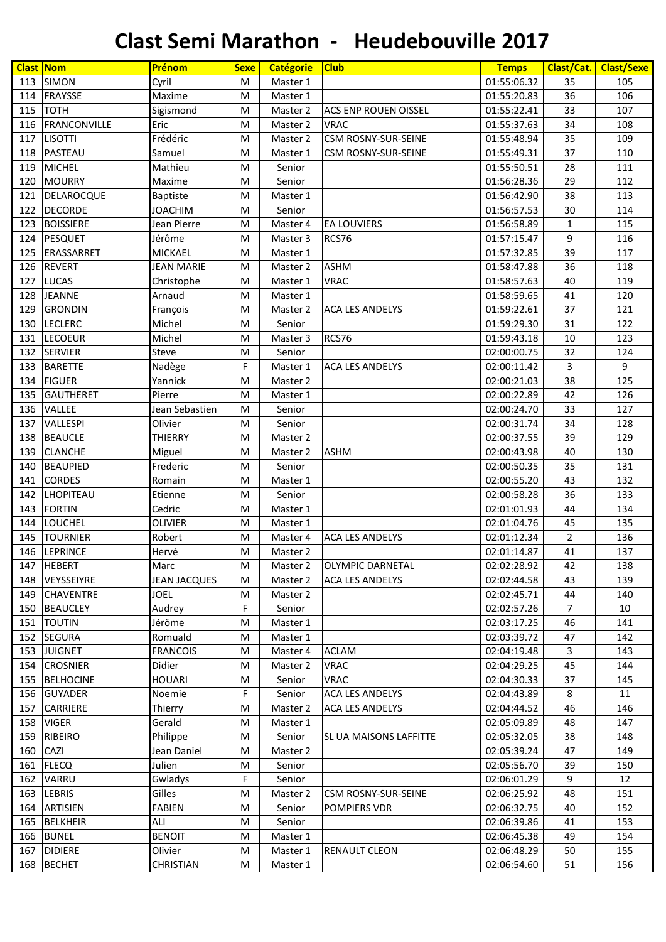|     | <b>Clast Nom</b>    | Prénom              | <b>Sexe</b> | <b>Catégorie</b> | <b>Club</b>                   | <b>Temps</b> | Clast/Cat.     | <b>Clast/Sexe</b> |
|-----|---------------------|---------------------|-------------|------------------|-------------------------------|--------------|----------------|-------------------|
| 113 | <b>SIMON</b>        | Cyril               | M           | Master 1         |                               | 01:55:06.32  | 35             | 105               |
| 114 | <b>FRAYSSE</b>      | Maxime              | M           | Master 1         |                               | 01:55:20.83  | 36             | 106               |
| 115 | <b>TOTH</b>         | Sigismond           | M           | Master 2         | <b>ACS ENP ROUEN OISSEL</b>   | 01:55:22.41  | 33             | 107               |
| 116 | <b>FRANCONVILLE</b> | Eric                | M           | Master 2         | <b>VRAC</b>                   | 01:55:37.63  | 34             | 108               |
| 117 | <b>LISOTTI</b>      | Frédéric            | M           | Master 2         | <b>CSM ROSNY-SUR-SEINE</b>    | 01:55:48.94  | 35             | 109               |
| 118 | PASTEAU             | Samuel              | M           | Master 1         | <b>CSM ROSNY-SUR-SEINE</b>    | 01:55:49.31  | 37             | 110               |
| 119 | <b>MICHEL</b>       | Mathieu             | M           | Senior           |                               | 01:55:50.51  | 28             | 111               |
| 120 | <b>MOURRY</b>       | Maxime              | M           | Senior           |                               | 01:56:28.36  | 29             | 112               |
| 121 | <b>DELAROCQUE</b>   | <b>Baptiste</b>     | M           | Master 1         |                               | 01:56:42.90  | 38             | 113               |
| 122 | <b>DECORDE</b>      | <b>JOACHIM</b>      | M           | Senior           |                               | 01:56:57.53  | 30             | 114               |
| 123 | <b>BOISSIERE</b>    | Jean Pierre         | M           | Master 4         | <b>EA LOUVIERS</b>            | 01:56:58.89  | $\mathbf{1}$   | 115               |
| 124 | <b>PESQUET</b>      | Jérôme              | M           | Master 3         | RCS76                         | 01:57:15.47  | 9              | 116               |
| 125 | <b>ERASSARRET</b>   | <b>MICKAEL</b>      | M           | Master 1         |                               | 01:57:32.85  | 39             | 117               |
| 126 | <b>REVERT</b>       | <b>JEAN MARIE</b>   | M           | Master 2         | <b>ASHM</b>                   | 01:58:47.88  | 36             | 118               |
| 127 | <b>LUCAS</b>        | Christophe          | M           | Master 1         | <b>VRAC</b>                   | 01:58:57.63  | 40             | 119               |
| 128 | <b>JEANNE</b>       | Arnaud              | M           | Master 1         |                               | 01:58:59.65  | 41             | 120               |
| 129 | <b>GRONDIN</b>      | François            | M           | Master 2         | <b>ACA LES ANDELYS</b>        | 01:59:22.61  | 37             | 121               |
| 130 | <b>LECLERC</b>      | Michel              | M           | Senior           |                               | 01:59:29.30  | 31             | 122               |
| 131 | <b>LECOEUR</b>      | Michel              | M           | Master 3         | RCS76                         | 01:59:43.18  | 10             | 123               |
| 132 | <b>SERVIER</b>      | Steve               | M           | Senior           |                               | 02:00:00.75  | 32             | 124               |
| 133 | <b>BARETTE</b>      | Nadège              | F           | Master 1         | <b>ACA LES ANDELYS</b>        | 02:00:11.42  | $\overline{3}$ | 9                 |
| 134 | <b>FIGUER</b>       | Yannick             | M           | Master 2         |                               | 02:00:21.03  | 38             | 125               |
| 135 | <b>GAUTHERET</b>    | Pierre              | M           | Master 1         |                               | 02:00:22.89  | 42             | 126               |
| 136 | VALLEE              | Jean Sebastien      | M           | Senior           |                               | 02:00:24.70  | 33             | 127               |
| 137 | <b>VALLESPI</b>     | Olivier             | M           | Senior           |                               | 02:00:31.74  | 34             | 128               |
| 138 | <b>BEAUCLE</b>      | <b>THIERRY</b>      | M           | Master 2         |                               | 02:00:37.55  | 39             | 129               |
| 139 | <b>CLANCHE</b>      | Miguel              | M           | Master 2         | <b>ASHM</b>                   | 02:00:43.98  | 40             | 130               |
| 140 | <b>BEAUPIED</b>     | Frederic            | M           | Senior           |                               | 02:00:50.35  | 35             | 131               |
| 141 | <b>CORDES</b>       | Romain              | M           | Master 1         |                               | 02:00:55.20  | 43             | 132               |
| 142 | <b>LHOPITEAU</b>    | Etienne             | M           | Senior           |                               | 02:00:58.28  | 36             | 133               |
| 143 | <b>FORTIN</b>       | Cedric              | M           | Master 1         |                               | 02:01:01.93  | 44             | 134               |
| 144 | <b>LOUCHEL</b>      | <b>OLIVIER</b>      | M           | Master 1         |                               | 02:01:04.76  | 45             | 135               |
| 145 | <b>TOURNIER</b>     | Robert              | M           | Master 4         | <b>ACA LES ANDELYS</b>        | 02:01:12.34  | $\overline{2}$ | 136               |
| 146 | <b>LEPRINCE</b>     | Hervé               | M           | Master 2         |                               | 02:01:14.87  | 41             | 137               |
| 147 | <b>HEBERT</b>       | Marc                | M           | Master 2         | <b>OLYMPIC DARNETAL</b>       | 02:02:28.92  | 42             | 138               |
| 148 | VEYSSEIYRE          | <b>JEAN JACQUES</b> | M           | Master 2         | <b>ACA LES ANDELYS</b>        | 02:02:44.58  | 43             | 139               |
| 149 | <b>CHAVENTRE</b>    | <b>JOEL</b>         | M           | Master 2         |                               | 02:02:45.71  | 44             | 140               |
| 150 | <b>BEAUCLEY</b>     | Audrey              | F           | Senior           |                               | 02:02:57.26  | $\overline{7}$ | 10                |
| 151 | <b>TOUTIN</b>       | Jérôme              | M           | Master 1         |                               | 02:03:17.25  | 46             | 141               |
| 152 | <b>SEGURA</b>       | Romuald             | M           | Master 1         |                               | 02:03:39.72  | 47             | 142               |
| 153 | <b>JUIGNET</b>      | <b>FRANCOIS</b>     | M           | Master 4         | <b>ACLAM</b>                  | 02:04:19.48  | 3              | 143               |
| 154 | <b>CROSNIER</b>     | Didier              | M           | Master 2         | <b>VRAC</b>                   | 02:04:29.25  | 45             | 144               |
| 155 | <b>BELHOCINE</b>    | <b>HOUARI</b>       | M           | Senior           | <b>VRAC</b>                   | 02:04:30.33  | 37             | 145               |
| 156 | <b>GUYADER</b>      | Noemie              | F           | Senior           | <b>ACA LES ANDELYS</b>        | 02:04:43.89  | 8              | 11                |
| 157 | CARRIERE            | Thierry             | M           | Master 2         | <b>ACA LES ANDELYS</b>        | 02:04:44.52  | 46             | 146               |
| 158 | <b>VIGER</b>        | Gerald              | M           | Master 1         |                               | 02:05:09.89  | 48             | 147               |
| 159 | <b>RIBEIRO</b>      | Philippe            | M           | Senior           | <b>SL UA MAISONS LAFFITTE</b> | 02:05:32.05  | 38             | 148               |
| 160 | CAZI                | Jean Daniel         | M           | Master 2         |                               | 02:05:39.24  | 47             | 149               |
| 161 | <b>FLECQ</b>        | Julien              | M           | Senior           |                               | 02:05:56.70  | 39             | 150               |
| 162 | VARRU               | Gwladys             | F           | Senior           |                               | 02:06:01.29  | 9              | 12                |
| 163 | <b>LEBRIS</b>       | Gilles              | M           | Master 2         | <b>CSM ROSNY-SUR-SEINE</b>    | 02:06:25.92  | 48             | 151               |
| 164 | <b>ARTISIEN</b>     | <b>FABIEN</b>       | M           | Senior           | <b>POMPIERS VDR</b>           | 02:06:32.75  | 40             | 152               |
| 165 | <b>BELKHEIR</b>     | ALI                 | M           | Senior           |                               | 02:06:39.86  | 41             | 153               |
| 166 | <b>BUNEL</b>        | <b>BENOIT</b>       | M           | Master 1         |                               | 02:06:45.38  | 49             | 154               |
| 167 | <b>DIDIERE</b>      | Olivier             | M           | Master 1         | <b>RENAULT CLEON</b>          | 02:06:48.29  | 50             | 155               |
| 168 | <b>BECHET</b>       | <b>CHRISTIAN</b>    | M           | Master 1         |                               | 02:06:54.60  | 51             | 156               |
|     |                     |                     |             |                  |                               |              |                |                   |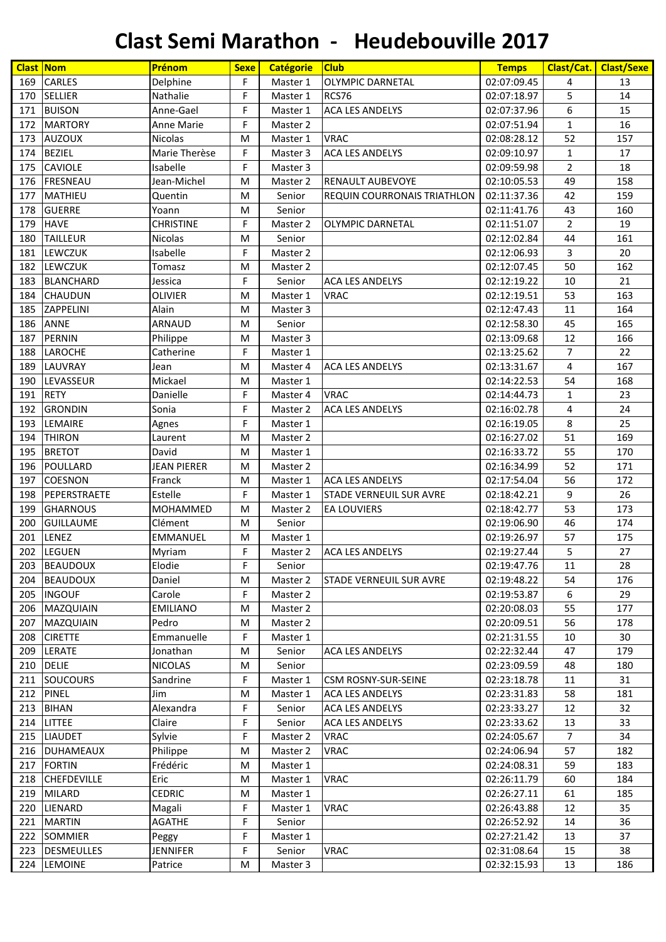| <b>Clast Nom</b> |                    | Prénom             | <b>Sexe</b> | <b>Catégorie</b> | <b>Club</b>                        | <b>Temps</b> | Clast/Cat.     | <b>Clast/Sexe</b> |
|------------------|--------------------|--------------------|-------------|------------------|------------------------------------|--------------|----------------|-------------------|
| 169              | <b>CARLES</b>      | Delphine           | F           | Master 1         | <b>OLYMPIC DARNETAL</b>            | 02:07:09.45  | 4              | 13                |
| 170              | <b>SELLIER</b>     | Nathalie           | F           | Master 1         | RCS76                              | 02:07:18.97  | 5              | 14                |
| 171              | <b>BUISON</b>      | Anne-Gael          | F           | Master 1         | <b>ACA LES ANDELYS</b>             | 02:07:37.96  | 6              | 15                |
| 172              | <b>MARTORY</b>     | <b>Anne Marie</b>  | F           | Master 2         |                                    | 02:07:51.94  | $\mathbf{1}$   | 16                |
| 173              | <b>AUZOUX</b>      | <b>Nicolas</b>     | M           | Master 1         | <b>VRAC</b>                        | 02:08:28.12  | 52             | 157               |
| 174              | <b>BEZIEL</b>      | Marie Therèse      | F           | Master 3         | <b>ACA LES ANDELYS</b>             | 02:09:10.97  | $\mathbf{1}$   | 17                |
| 175              | <b>CAVIOLE</b>     | Isabelle           | F           | Master 3         |                                    | 02:09:59.98  | $\overline{2}$ | 18                |
| 176              | <b>FRESNEAU</b>    | Jean-Michel        | M           | Master 2         | <b>RENAULT AUBEVOYE</b>            | 02:10:05.53  | 49             | 158               |
| 177              | <b>MATHIEU</b>     | Quentin            | M           | Senior           | <b>REQUIN COURRONAIS TRIATHLON</b> | 02:11:37.36  | 42             | 159               |
| 178              | <b>GUERRE</b>      | Yoann              | M           | Senior           |                                    | 02:11:41.76  | 43             | 160               |
| 179              | <b>HAVE</b>        | <b>CHRISTINE</b>   | F           | Master 2         | <b>OLYMPIC DARNETAL</b>            | 02:11:51.07  | $\overline{2}$ | 19                |
| 180              | <b>TAILLEUR</b>    | Nicolas            | M           | Senior           |                                    | 02:12:02.84  | 44             | 161               |
| 181              | <b>LEWCZUK</b>     | Isabelle           | F           | Master 2         |                                    | 02:12:06.93  | 3              | 20                |
| 182              | <b>LEWCZUK</b>     | Tomasz             | M           | Master 2         |                                    | 02:12:07.45  | 50             | 162               |
| 183              | <b>BLANCHARD</b>   | Jessica            | F           | Senior           | <b>ACA LES ANDELYS</b>             | 02:12:19.22  | 10             | 21                |
| 184              | <b>CHAUDUN</b>     | <b>OLIVIER</b>     | M           | Master 1         | <b>VRAC</b>                        | 02:12:19.51  | 53             | 163               |
| 185              | <b>ZAPPELINI</b>   | Alain              | M           | Master 3         |                                    | 02:12:47.43  | 11             | 164               |
| 186              | <b>ANNE</b>        | <b>ARNAUD</b>      | M           | Senior           |                                    | 02:12:58.30  | 45             | 165               |
| 187              | PERNIN             | Philippe           | M           | Master 3         |                                    | 02:13:09.68  | 12             | 166               |
| 188              | <b>LAROCHE</b>     | Catherine          | F           | Master 1         |                                    | 02:13:25.62  | 7              | 22                |
| 189              | <b>LAUVRAY</b>     | Jean               | M           | Master 4         | <b>ACA LES ANDELYS</b>             | 02:13:31.67  | 4              | 167               |
| 190              | <b>LEVASSEUR</b>   | Mickael            | M           | Master 1         |                                    | 02:14:22.53  | 54             | 168               |
| 191              | <b>RETY</b>        | Danielle           | F           | Master 4         | <b>VRAC</b>                        | 02:14:44.73  | $\mathbf{1}$   | 23                |
| 192              | <b>GRONDIN</b>     | Sonia              | F           | Master 2         | <b>ACA LES ANDELYS</b>             | 02:16:02.78  | 4              | 24                |
| 193              | LEMAIRE            | Agnes              | F           | Master 1         |                                    | 02:16:19.05  | 8              | 25                |
| 194              | <b>THIRON</b>      | Laurent            | M           | Master 2         |                                    | 02:16:27.02  | 51             | 169               |
| 195              | <b>BRETOT</b>      | David              | M           | Master 1         |                                    | 02:16:33.72  | 55             | 170               |
| 196              | POULLARD           | <b>JEAN PIERER</b> | M           | Master 2         |                                    | 02:16:34.99  | 52             | 171               |
| 197              | <b>COESNON</b>     | Franck             | M           | Master 1         | <b>ACA LES ANDELYS</b>             | 02:17:54.04  | 56             | 172               |
| 198              | PEPERSTRAETE       | Estelle            | F           | Master 1         | <b>STADE VERNEUIL SUR AVRE</b>     | 02:18:42.21  | 9              | 26                |
| 199              | <b>GHARNOUS</b>    | MOHAMMED           | M           | Master 2         | <b>EA LOUVIERS</b>                 | 02:18:42.77  | 53             | 173               |
| 200              | <b>GUILLAUME</b>   | Clément            | M           | Senior           |                                    | 02:19:06.90  | 46             | 174               |
| 201              | <b>LENEZ</b>       | <b>EMMANUEL</b>    | M           | Master 1         |                                    | 02:19:26.97  | 57             | 175               |
| 202              | <b>LEGUEN</b>      | Myriam             | F           | Master 2         | <b>ACA LES ANDELYS</b>             | 02:19:27.44  | 5              | 27                |
| 203              | <b>BEAUDOUX</b>    | Elodie             | F           | Senior           |                                    | 02:19:47.76  | 11             | 28                |
| 204              | <b>BEAUDOUX</b>    | Daniel             | M           | Master 2         | <b>STADE VERNEUIL SUR AVRE</b>     | 02:19:48.22  | 54             | 176               |
| 205              | <b>INGOUF</b>      | Carole             | F           | Master 2         |                                    | 02:19:53.87  | 6              | 29                |
| 206              | MAZQUIAIN          | <b>EMILIANO</b>    | M           | Master 2         |                                    | 02:20:08.03  | 55             | 177               |
| 207              | MAZQUIAIN          | Pedro              | M           | Master 2         |                                    | 02:20:09.51  | 56             | 178               |
| 208              | <b>CIRETTE</b>     | Emmanuelle         | F           | Master 1         |                                    | 02:21:31.55  | 10             | 30                |
| 209              | <b>LERATE</b>      | Jonathan           | M           | Senior           | ACA LES ANDELYS                    | 02:22:32.44  | 47             | 179               |
| 210              | <b>DELIE</b>       | <b>NICOLAS</b>     | M           | Senior           |                                    | 02:23:09.59  | 48             | 180               |
| 211              | <b>SOUCOURS</b>    | Sandrine           | F           | Master 1         | <b>CSM ROSNY-SUR-SEINE</b>         | 02:23:18.78  | 11             | 31                |
| 212              | <b>PINEL</b>       | Jim                | M           | Master 1         | <b>ACA LES ANDELYS</b>             | 02:23:31.83  | 58             | 181               |
| 213              | <b>BIHAN</b>       | Alexandra          | F           | Senior           | <b>ACA LES ANDELYS</b>             | 02:23:33.27  | 12             | 32                |
| 214              | <b>LITTEE</b>      | Claire             | F           | Senior           | <b>ACA LES ANDELYS</b>             | 02:23:33.62  | 13             | 33                |
| 215              | <b>LIAUDET</b>     | Sylvie             | F           | Master 2         | <b>VRAC</b>                        | 02:24:05.67  | $\overline{7}$ | 34                |
| 216              | <b>DUHAMEAUX</b>   | Philippe           | M           | Master 2         | <b>VRAC</b>                        | 02:24:06.94  | 57             | 182               |
| 217              | <b>FORTIN</b>      | Frédéric           | M           | Master 1         |                                    | 02:24:08.31  | 59             | 183               |
| 218              | <b>CHEFDEVILLE</b> | Eric               | M           | Master 1         | <b>VRAC</b>                        | 02:26:11.79  | 60             | 184               |
| 219              | <b>MILARD</b>      | <b>CEDRIC</b>      | M           | Master 1         |                                    | 02:26:27.11  | 61             | 185               |
| 220              | LIENARD            | Magali             | F           | Master 1         | <b>VRAC</b>                        | 02:26:43.88  | 12             | 35                |
| 221              | <b>MARTIN</b>      | <b>AGATHE</b>      | F           | Senior           |                                    | 02:26:52.92  | 14             | 36                |
| 222              | <b>SOMMIER</b>     | Peggy              | F           | Master 1         |                                    | 02:27:21.42  | 13             | 37                |
| 223              | <b>DESMEULLES</b>  | <b>JENNIFER</b>    | F           | Senior           | <b>VRAC</b>                        | 02:31:08.64  | 15             | 38                |
|                  | 224 LEMOINE        | Patrice            | M           | Master 3         |                                    | 02:32:15.93  | 13             | 186               |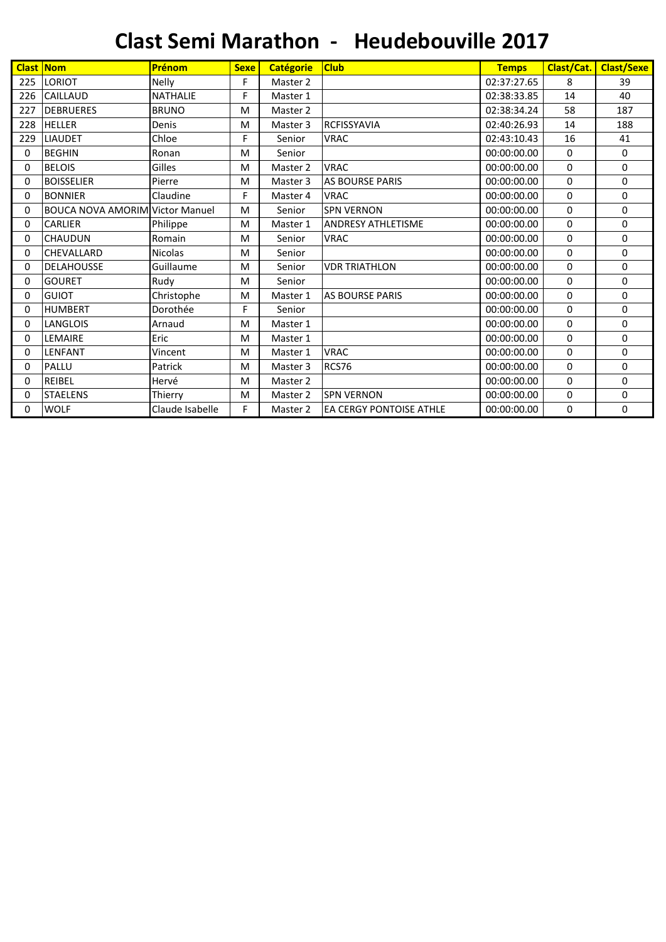|     | <b>Clast Nom</b>                       | Prénom          | <b>Sexe</b> | <b>Catégorie</b> | <b>Club</b>                    | <b>Temps</b> | Clast/Cat.  | <b>Clast/Sexe</b> |
|-----|----------------------------------------|-----------------|-------------|------------------|--------------------------------|--------------|-------------|-------------------|
| 225 | <b>LORIOT</b>                          | <b>Nelly</b>    | F           | Master 2         |                                | 02:37:27.65  | 8           | 39                |
| 226 | <b>CAILLAUD</b>                        | <b>NATHALIE</b> | F           | Master 1         |                                | 02:38:33.85  | 14          | 40                |
| 227 | <b>DEBRUERES</b>                       | <b>BRUNO</b>    | M           | Master 2         |                                | 02:38:34.24  | 58          | 187               |
| 228 | <b>HELLER</b>                          | Denis           | M           | Master 3         | <b>RCFISSYAVIA</b>             | 02:40:26.93  | 14          | 188               |
| 229 | <b>LIAUDET</b>                         | Chloe           | F           | Senior           | <b>VRAC</b>                    | 02:43:10.43  | 16          | 41                |
| 0   | <b>BEGHIN</b>                          | Ronan           | M           | Senior           |                                | 00:00:00.00  | 0           | 0                 |
| 0   | <b>BELOIS</b>                          | Gilles          | M           | Master 2         | <b>VRAC</b>                    | 00:00:00.00  | 0           | 0                 |
| 0   | <b>BOISSELIER</b>                      | Pierre          | M           | Master 3         | <b>AS BOURSE PARIS</b>         | 00:00:00.00  | 0           | 0                 |
| 0   | <b>BONNIER</b>                         | Claudine        | F           | Master 4         | <b>VRAC</b>                    | 00:00:00.00  | $\mathbf 0$ | 0                 |
| 0   | <b>BOUCA NOVA AMORIM Victor Manuel</b> |                 | M           | Senior           | <b>SPN VERNON</b>              | 00:00:00.00  | 0           | 0                 |
| 0   | <b>CARLIER</b>                         | Philippe        | M           | Master 1         | <b>ANDRESY ATHLETISME</b>      | 00:00:00.00  | $\Omega$    | 0                 |
| 0   | <b>CHAUDUN</b>                         | Romain          | M           | Senior           | <b>VRAC</b>                    | 00:00:00.00  | $\Omega$    | 0                 |
| 0   | <b>CHEVALLARD</b>                      | <b>Nicolas</b>  | M           | Senior           |                                | 00:00:00.00  | 0           | 0                 |
| 0   | <b>DELAHOUSSE</b>                      | Guillaume       | M           | Senior           | <b>VDR TRIATHLON</b>           | 00:00:00.00  | 0           | 0                 |
| 0   | <b>GOURET</b>                          | Rudy            | M           | Senior           |                                | 00:00:00.00  | $\mathbf 0$ | 0                 |
| 0   | <b>GUIOT</b>                           | Christophe      | M           | Master 1         | AS BOURSE PARIS                | 00:00:00.00  | 0           | 0                 |
| 0   | <b>HUMBERT</b>                         | Dorothée        | F           | Senior           |                                | 00:00:00.00  | 0           | 0                 |
| 0   | <b>LANGLOIS</b>                        | Arnaud          | M           | Master 1         |                                | 00:00:00.00  | $\Omega$    | 0                 |
| 0   | LEMAIRE                                | Eric            | M           | Master 1         |                                | 00:00:00.00  | 0           | 0                 |
| 0   | <b>LENFANT</b>                         | Vincent         | M           | Master 1         | <b>VRAC</b>                    | 00:00:00.00  | 0           | 0                 |
| 0   | PALLU                                  | Patrick         | M           | Master 3         | RCS76                          | 00:00:00.00  | 0           | 0                 |
| 0   | <b>REIBEL</b>                          | Hervé           | M           | Master 2         |                                | 00:00:00.00  | 0           | 0                 |
| 0   | <b>STAELENS</b>                        | Thierry         | M           | Master 2         | <b>SPN VERNON</b>              | 00:00:00.00  | 0           | 0                 |
| 0   | <b>WOLF</b>                            | Claude Isabelle | F.          | Master 2         | <b>EA CERGY PONTOISE ATHLE</b> | 00:00:00.00  | 0           | 0                 |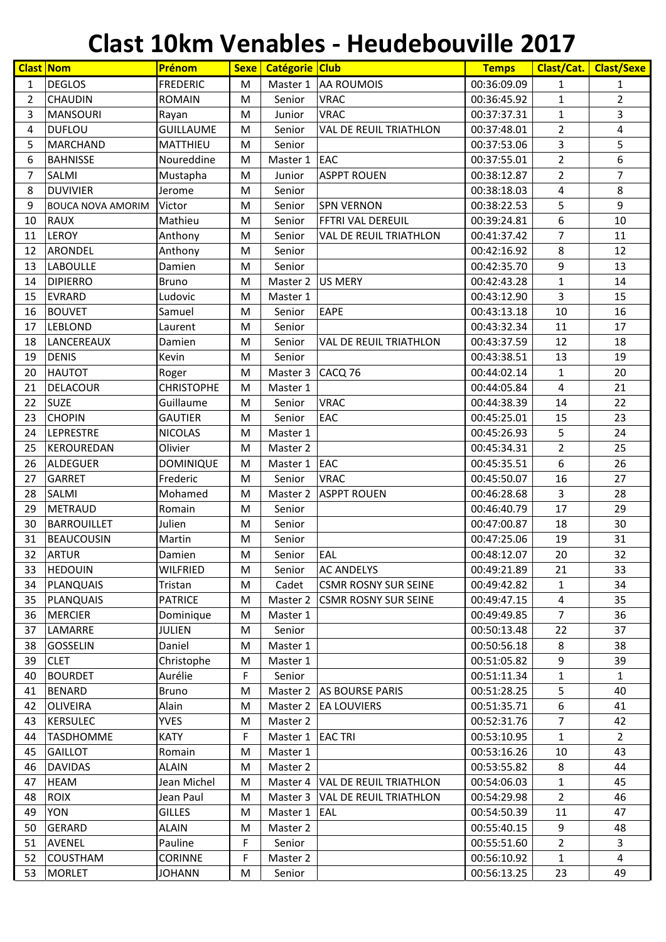#### **Clast 10km Venables - Heudebouville 2017**

| <b>Clast Nom</b> |                          | Prénom            | <b>Sexe</b> | <b>Catégorie Club</b> |                               | <b>Temps</b> | Clast/Cat.     | <b>Clast/Sexe</b> |
|------------------|--------------------------|-------------------|-------------|-----------------------|-------------------------------|--------------|----------------|-------------------|
| 1                | <b>DEGLOS</b>            | <b>FREDERIC</b>   | M           | Master 1              | <b>AA ROUMOIS</b>             | 00:36:09.09  | 1              | 1                 |
| $\overline{2}$   | <b>CHAUDIN</b>           | <b>ROMAIN</b>     | M           | Senior                | <b>VRAC</b>                   | 00:36:45.92  | $\mathbf{1}$   | $\overline{2}$    |
| 3                | <b>MANSOURI</b>          | Rayan             | M           | Junior                | <b>VRAC</b>                   | 00:37:37.31  | $\mathbf{1}$   | 3                 |
| 4                | <b>DUFLOU</b>            | <b>GUILLAUME</b>  | M           | Senior                | <b>VAL DE REUIL TRIATHLON</b> | 00:37:48.01  | $\overline{2}$ | 4                 |
| 5                | <b>MARCHAND</b>          | MATTHIEU          | M           | Senior                |                               | 00:37:53.06  | 3              | 5                 |
| 6                | <b>BAHNISSE</b>          | Noureddine        | M           | Master 1              | <b>EAC</b>                    | 00:37:55.01  | $\overline{2}$ | 6                 |
| 7                | SALMI                    | Mustapha          | M           | Junior                | <b>ASPPT ROUEN</b>            | 00:38:12.87  | $\overline{2}$ | 7                 |
| 8                | <b>DUVIVIER</b>          | Jerome            | M           | Senior                |                               | 00:38:18.03  | 4              | 8                 |
| 9                | <b>BOUCA NOVA AMORIM</b> | Victor            | M           | Senior                | <b>SPN VERNON</b>             | 00:38:22.53  | 5              | 9                 |
| 10               | <b>RAUX</b>              | Mathieu           | M           | Senior                | FFTRI VAL DEREUIL             | 00:39:24.81  | 6              | 10                |
| 11               | LEROY                    | Anthony           | M           | Senior                | <b>VAL DE REUIL TRIATHLON</b> | 00:41:37.42  | 7              | 11                |
| 12               | <b>ARONDEL</b>           | Anthony           | M           | Senior                |                               | 00:42:16.92  | 8              | 12                |
| 13               | <b>LABOULLE</b>          | Damien            | M           | Senior                |                               | 00:42:35.70  | 9              | 13                |
| 14               | <b>DIPIERRO</b>          | <b>Bruno</b>      | M           | Master 2              | <b>US MERY</b>                | 00:42:43.28  | $\mathbf{1}$   | 14                |
| 15               | <b>EVRARD</b>            | Ludovic           | M           | Master 1              |                               | 00:43:12.90  | 3              | 15                |
| 16               | <b>BOUVET</b>            | Samuel            | M           | Senior                | <b>EAPE</b>                   | 00:43:13.18  | 10             | 16                |
| 17               | LEBLOND                  | Laurent           | M           | Senior                |                               | 00:43:32.34  | 11             | 17                |
| 18               | LANCEREAUX               | Damien            | M           | Senior                | <b>VAL DE REUIL TRIATHLON</b> | 00:43:37.59  | 12             | 18                |
| 19               | <b>DENIS</b>             | Kevin             | M           | Senior                |                               | 00:43:38.51  | 13             | 19                |
| 20               | <b>HAUTOT</b>            | Roger             | M           | Master 3              | CACQ <sub>76</sub>            | 00:44:02.14  | $\mathbf{1}$   | 20                |
| 21               | <b>DELACOUR</b>          | <b>CHRISTOPHE</b> | M           | Master 1              |                               | 00:44:05.84  | 4              | 21                |
| 22               | <b>SUZE</b>              | Guillaume         | M           | Senior                | <b>VRAC</b>                   | 00:44:38.39  | 14             | 22                |
| 23               | <b>CHOPIN</b>            | <b>GAUTIER</b>    | M           | Senior                | EAC                           | 00:45:25.01  | 15             | 23                |
| 24               | LEPRESTRE                | <b>NICOLAS</b>    | M           | Master 1              |                               | 00:45:26.93  | 5              | 24                |
| 25               | KEROUREDAN               | Olivier           | M           | Master 2              |                               | 00:45:34.31  | $\overline{2}$ | 25                |
| 26               | ALDEGUER                 | <b>DOMINIQUE</b>  | M           | Master 1              | EAC                           | 00:45:35.51  | 6              | 26                |
| 27               | <b>GARRET</b>            | Frederic          | M           | Senior                | <b>VRAC</b>                   | 00:45:50.07  | 16             | 27                |
| 28               | SALMI                    | Mohamed           | M           | Master 2              | <b>ASPPT ROUEN</b>            | 00:46:28.68  | 3              | 28                |
| 29               | <b>METRAUD</b>           | Romain            | M           | Senior                |                               | 00:46:40.79  | 17             | 29                |
| 30               | <b>BARROUILLET</b>       | Julien            | M           | Senior                |                               | 00:47:00.87  | 18             | 30                |
| 31               | BEAUCOUSIN               | Martin            | M           | Senior                |                               | 00:47:25.06  | 19             | 31                |
| 32               | <b>ARTUR</b>             | Damien            | M           | Senior                | EAL                           | 00:48:12.07  | 20             | 32                |
| 33               | <b>HEDOUIN</b>           | <b>WILFRIED</b>   | M           | Senior                | <b>AC ANDELYS</b>             | 00:49:21.89  | 21             | 33                |
| 34               | PLANQUAIS                | Tristan           | M           | Cadet                 | <b>CSMR ROSNY SUR SEINE</b>   | 00:49:42.82  | 1              | 34                |
| 35               | <b>PLANQUAIS</b>         | <b>PATRICE</b>    | M           | Master 2              | <b>CSMR ROSNY SUR SEINE</b>   | 00:49:47.15  | 4              | 35                |
| 36               | <b>MERCIER</b>           | Dominique         | M           | Master 1              |                               | 00:49:49.85  | $\overline{7}$ | 36                |
| 37               | LAMARRE                  | <b>JULIEN</b>     | M           | Senior                |                               | 00:50:13.48  | 22             | 37                |
| 38               | <b>GOSSELIN</b>          | Daniel            | M           | Master 1              |                               | 00:50:56.18  | 8              | 38                |
| 39               | <b>CLET</b>              | Christophe        | M           | Master 1              |                               | 00:51:05.82  | 9              | 39                |
| 40               | <b>BOURDET</b>           | Aurélie           | F           | Senior                |                               | 00:51:11.34  | $\mathbf{1}$   | 1                 |
| 41               | <b>BENARD</b>            | <b>Bruno</b>      | M           | Master 2              | <b>AS BOURSE PARIS</b>        | 00:51:28.25  | 5              | 40                |
| 42               | <b>OLIVEIRA</b>          | Alain             | M           | Master 2              | <b>EA LOUVIERS</b>            | 00:51:35.71  | 6              | 41                |
| 43               | <b>KERSULEC</b>          | <b>YVES</b>       | M           | Master 2              |                               | 00:52:31.76  | $\overline{7}$ | 42                |
| 44               | <b>TASDHOMME</b>         | <b>KATY</b>       | F           | Master 1              | <b>EAC TRI</b>                | 00:53:10.95  | $\mathbf{1}$   | $2^{\circ}$       |
| 45               | <b>GAILLOT</b>           | Romain            | M           | Master 1              |                               | 00:53:16.26  | 10             | 43                |
| 46               | <b>DAVIDAS</b>           | <b>ALAIN</b>      | M           | Master 2              |                               | 00:53:55.82  | 8              | 44                |
| 47               | <b>HEAM</b>              | Jean Michel       | M           | Master 4              | VAL DE REUIL TRIATHLON        | 00:54:06.03  | $\mathbf{1}$   | 45                |
| 48               | <b>ROIX</b>              | Jean Paul         | M           | Master 3              | VAL DE REUIL TRIATHLON        | 00:54:29.98  | $\overline{2}$ | 46                |
| 49               | <b>YON</b>               | <b>GILLES</b>     | M           | Master 1              | EAL                           | 00:54:50.39  | 11             | 47                |
| 50               | <b>GERARD</b>            | <b>ALAIN</b>      | M           | Master 2              |                               | 00:55:40.15  | 9              | 48                |
| 51               | <b>AVENEL</b>            | Pauline           | F           | Senior                |                               | 00:55:51.60  | $\overline{a}$ | 3                 |
| 52               | <b>COUSTHAM</b>          | <b>CORINNE</b>    | F           | Master 2              |                               | 00:56:10.92  | $\mathbf{1}$   | $\overline{4}$    |
| 53               | <b>MORLET</b>            | <b>JOHANN</b>     | M           | Senior                |                               | 00:56:13.25  | 23             | 49                |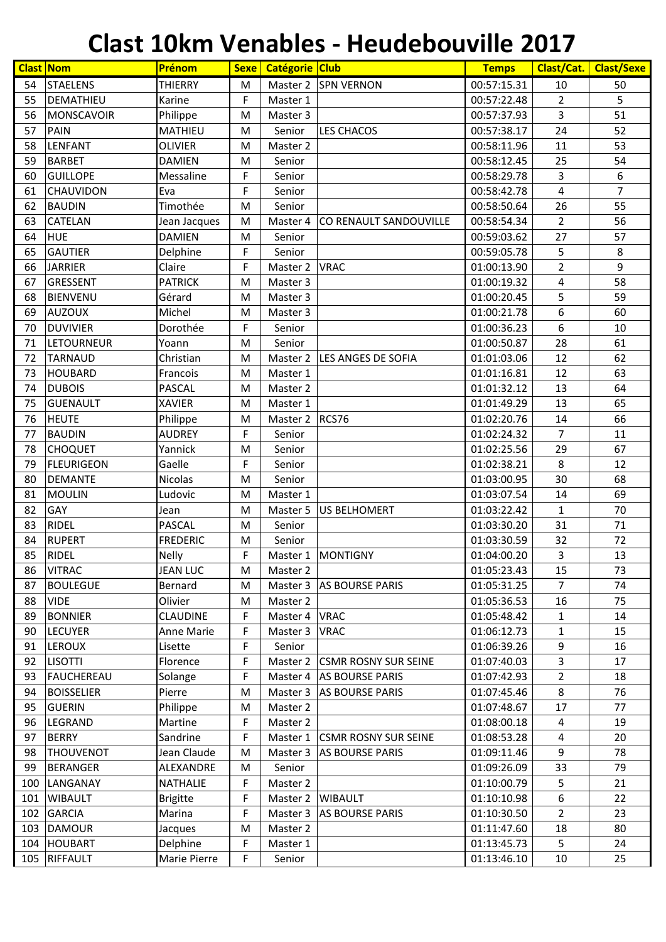#### **Clast 10km Venables - Heudebouville 2017**

|     | <b>Clast Nom</b>  | Prénom            | <b>Sexe</b> | Catégorie Club |                             | <b>Temps</b> | Clast/Cat.     | <b>Clast/Sexe</b> |
|-----|-------------------|-------------------|-------------|----------------|-----------------------------|--------------|----------------|-------------------|
| 54  | <b>STAELENS</b>   | <b>THIERRY</b>    | M           | Master 2       | <b>SPN VERNON</b>           | 00:57:15.31  | 10             | 50                |
| 55  | DEMATHIEU         | Karine            | F           | Master 1       |                             | 00:57:22.48  | $\overline{2}$ | 5                 |
| 56  | <b>MONSCAVOIR</b> | Philippe          | M           | Master 3       |                             | 00:57:37.93  | 3              | 51                |
| 57  | <b>PAIN</b>       | <b>MATHIEU</b>    | M           | Senior         | <b>LES CHACOS</b>           | 00:57:38.17  | 24             | 52                |
| 58  | LENFANT           | <b>OLIVIER</b>    | M           | Master 2       |                             | 00:58:11.96  | 11             | 53                |
| 59  | <b>BARBET</b>     | <b>DAMIEN</b>     | M           | Senior         |                             | 00:58:12.45  | 25             | 54                |
| 60  | <b>GUILLOPE</b>   | Messaline         | F           | Senior         |                             | 00:58:29.78  | 3              | 6                 |
| 61  | <b>CHAUVIDON</b>  | Eva               | F           | Senior         |                             | 00:58:42.78  | 4              | $\overline{7}$    |
| 62  | <b>BAUDIN</b>     | Timothée          | M           | Senior         |                             | 00:58:50.64  | 26             | 55                |
| 63  | <b>CATELAN</b>    | Jean Jacques      | M           | Master 4       | CO RENAULT SANDOUVILLE      | 00:58:54.34  | $\overline{2}$ | 56                |
| 64  | <b>HUE</b>        | <b>DAMIEN</b>     | M           | Senior         |                             | 00:59:03.62  | 27             | 57                |
| 65  | <b>GAUTIER</b>    | Delphine          | F           | Senior         |                             | 00:59:05.78  | 5              | 8                 |
| 66  | <b>JARRIER</b>    | Claire            | F           | Master 2       | <b>VRAC</b>                 | 01:00:13.90  | $\overline{2}$ | 9                 |
| 67  | <b>GRESSENT</b>   | <b>PATRICK</b>    | M           | Master 3       |                             | 01:00:19.32  | 4              | 58                |
| 68  | <b>BIENVENU</b>   | Gérard            | M           | Master 3       |                             | 01:00:20.45  | 5              | 59                |
| 69  | <b>AUZOUX</b>     | Michel            | M           | Master 3       |                             | 01:00:21.78  | 6              | 60                |
| 70  | <b>DUVIVIER</b>   | Dorothée          | F           | Senior         |                             | 01:00:36.23  | 6              | 10                |
| 71  | LETOURNEUR        | Yoann             | M           | Senior         |                             | 01:00:50.87  | 28             | 61                |
| 72  | <b>TARNAUD</b>    | Christian         | M           | Master 2       | LES ANGES DE SOFIA          | 01:01:03.06  | 12             | 62                |
| 73  | <b>HOUBARD</b>    | Francois          | M           | Master 1       |                             | 01:01:16.81  | 12             | 63                |
| 74  | <b>DUBOIS</b>     | PASCAL            | M           | Master 2       |                             | 01:01:32.12  | 13             | 64                |
| 75  | <b>GUENAULT</b>   | <b>XAVIER</b>     | M           | Master 1       |                             | 01:01:49.29  | 13             | 65                |
| 76  | <b>HEUTE</b>      | Philippe          | M           | Master 2       | RCS76                       | 01:02:20.76  | 14             | 66                |
| 77  | <b>BAUDIN</b>     | <b>AUDREY</b>     | F           | Senior         |                             | 01:02:24.32  | $\overline{7}$ | 11                |
| 78  | <b>CHOQUET</b>    | Yannick           | M           | Senior         |                             | 01:02:25.56  | 29             | 67                |
| 79  | <b>FLEURIGEON</b> | Gaelle            | F           | Senior         |                             | 01:02:38.21  | 8              | 12                |
| 80  | <b>DEMANTE</b>    | <b>Nicolas</b>    | M           | Senior         |                             | 01:03:00.95  | 30             | 68                |
| 81  | <b>MOULIN</b>     | Ludovic           | M           | Master 1       |                             | 01:03:07.54  | 14             | 69                |
| 82  | GAY               | Jean              | M           | Master 5       | <b>US BELHOMERT</b>         | 01:03:22.42  | $\mathbf{1}$   | 70                |
| 83  | <b>RIDEL</b>      | PASCAL            | M           | Senior         |                             | 01:03:30.20  | 31             | 71                |
| 84  | <b>RUPERT</b>     | <b>FREDERIC</b>   | M           | Senior         |                             | 01:03:30.59  | 32             | 72                |
| 85  | <b>RIDEL</b>      | <b>Nelly</b>      | F           | Master 1       | <b>MONTIGNY</b>             | 01:04:00.20  | 3              | 13                |
| 86  | <b>VITRAC</b>     | <b>JEAN LUC</b>   | M           | Master 2       |                             | 01:05:23.43  | 15             | 73                |
| 87  | <b>BOULEGUE</b>   | Bernard           | M           | Master 3       | <b>AS BOURSE PARIS</b>      | 01:05:31.25  | $\overline{7}$ | 74                |
| 88  | <b>VIDE</b>       | Olivier           | M           | Master 2       |                             | 01:05:36.53  | 16             | 75                |
| 89  | <b>BONNIER</b>    | <b>CLAUDINE</b>   | F           | Master 4       | <b>VRAC</b>                 | 01:05:48.42  | $\mathbf{1}$   | 14                |
| 90  | <b>LECUYER</b>    | <b>Anne Marie</b> | F           | Master 3       | <b>VRAC</b>                 | 01:06:12.73  | $\mathbf{1}$   | 15                |
| 91  | <b>LEROUX</b>     | Lisette           | F           | Senior         |                             | 01:06:39.26  | 9              | 16                |
| 92  | <b>LISOTTI</b>    | Florence          | F           | Master 2       | <b>CSMR ROSNY SUR SEINE</b> | 01:07:40.03  | 3              | 17                |
| 93  | <b>FAUCHEREAU</b> | Solange           | F           | Master 4       | <b>AS BOURSE PARIS</b>      | 01:07:42.93  | $\overline{2}$ | 18                |
| 94  | <b>BOISSELIER</b> | Pierre            | M           | Master 3       | <b>AS BOURSE PARIS</b>      | 01:07:45.46  | 8              | 76                |
| 95  | <b>GUERIN</b>     | Philippe          | M           | Master 2       |                             | 01:07:48.67  | 17             | 77                |
| 96  | LEGRAND           | Martine           | F           | Master 2       |                             | 01:08:00.18  | 4              | 19                |
| 97  | <b>BERRY</b>      | Sandrine          | F           | Master 1       | <b>CSMR ROSNY SUR SEINE</b> | 01:08:53.28  | 4              | 20                |
| 98  | <b>THOUVENOT</b>  | Jean Claude       | M           | Master 3       | <b>AS BOURSE PARIS</b>      | 01:09:11.46  | 9              | 78                |
| 99  | <b>BERANGER</b>   | ALEXANDRE         | M           | Senior         |                             | 01:09:26.09  | 33             | 79                |
| 100 | LANGANAY          | <b>NATHALIE</b>   | F           | Master 2       |                             | 01:10:00.79  | 5              | 21                |
| 101 | <b>WIBAULT</b>    | <b>Brigitte</b>   | F           | Master 2       | <b>WIBAULT</b>              | 01:10:10.98  | 6              | 22                |
| 102 | <b>GARCIA</b>     | Marina            | F           | Master 3       | <b>AS BOURSE PARIS</b>      | 01:10:30.50  | $\overline{2}$ | 23                |
| 103 | <b>DAMOUR</b>     | Jacques           | M           | Master 2       |                             | 01:11:47.60  | 18             | 80                |
| 104 | HOUBART           | Delphine          | F           | Master 1       |                             | 01:13:45.73  | 5              | 24                |
| 105 | RIFFAULT          | Marie Pierre      | F           | Senior         |                             | 01:13:46.10  | 10             | 25                |